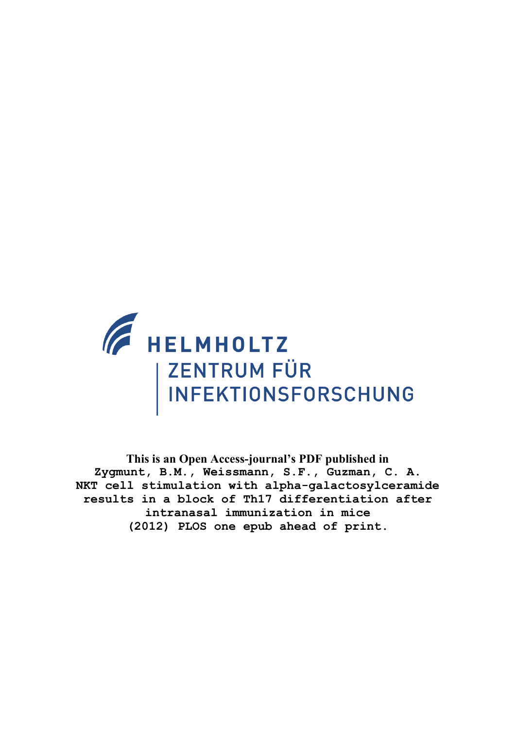

**This is an Open Access-journal's PDF published in Zygmunt, B.M., Weissmann, S.F., Guzman, C. A. NKT cell stimulation with alpha-galactosylceramide results in a block of Th17 differentiation after intranasal immunization in mice (2012) PLOS one epub ahead of print.**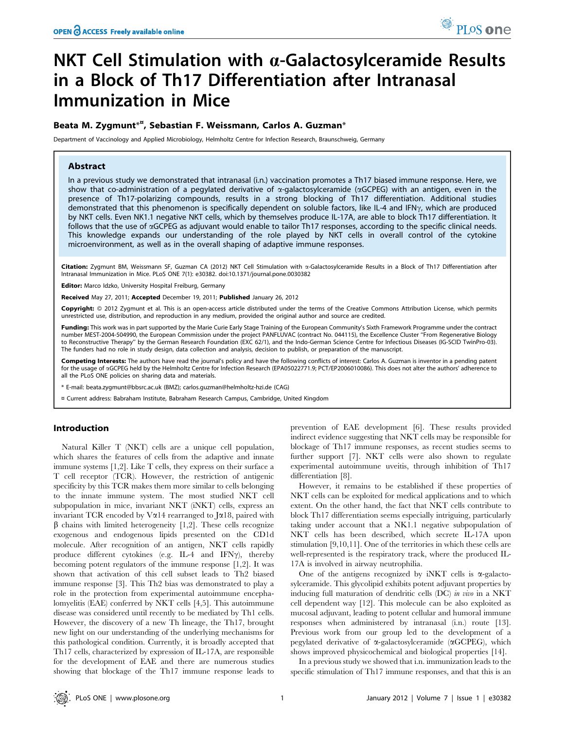# NKT Cell Stimulation with  $\alpha$ -Galactosylceramide Results in a Block of Th17 Differentiation after Intranasal Immunization in Mice

# Beata M. Zygmunt $^{*\pi}$ , Sebastian F. Weissmann, Carlos A. Guzman $^*$

Department of Vaccinology and Applied Microbiology, Helmholtz Centre for Infection Research, Braunschweig, Germany

## Abstract

In a previous study we demonstrated that intranasal (i.n.) vaccination promotes a Th17 biased immune response. Here, we show that co-administration of a pegylated derivative of  $\alpha$ -galactosylceramide ( $\alpha$ GCPEG) with an antigen, even in the presence of Th17-polarizing compounds, results in a strong blocking of Th17 differentiation. Additional studies demonstrated that this phenomenon is specifically dependent on soluble factors, like IL-4 and IFN $\gamma$ , which are produced by NKT cells. Even NK1.1 negative NKT cells, which by themselves produce IL-17A, are able to block Th17 differentiation. It follows that the use of aGCPEG as adjuvant would enable to tailor Th17 responses, according to the specific clinical needs. This knowledge expands our understanding of the role played by NKT cells in overall control of the cytokine microenvironment, as well as in the overall shaping of adaptive immune responses.

Citation: Zygmunt BM, Weissmann SF, Guzman CA (2012) NKT Cell Stimulation with a-Galactosylceramide Results in a Block of Th17 Differentiation after Intranasal Immunization in Mice. PLoS ONE 7(1): e30382. doi:10.1371/journal.pone.0030382

Editor: Marco Idzko, University Hospital Freiburg, Germany

Received May 27, 2011; Accepted December 19, 2011; Published January 26, 2012

Copyright: © 2012 Zygmunt et al. This is an open-access article distributed under the terms of the Creative Commons Attribution License, which permits unrestricted use, distribution, and reproduction in any medium, provided the original author and source are credited.

Funding: This work was in part supported by the Marie Curie Early Stage Training of the European Community's Sixth Framework Programme under the contract number MEST-2004-504990, the European Commission under the project PANFLUVAC (contract No. 044115), the Excellence Cluster ''From Regenerative Biology to Reconstructive Therapy'' by the German Research Foundation (EXC 62/1), and the Indo-German Science Centre for Infectious Diseases (IG-SCID TwinPro-03). The funders had no role in study design, data collection and analysis, decision to publish, or preparation of the manuscript.

Competing Interests: The authors have read the journal's policy and have the following conflicts of interest: Carlos A. Guzman is inventor in a pending patent for the usage of aGCPEG held by the Helmholtz Centre for Infection Research (EPA05022771.9; PCT/EP2006010086). This does not alter the authors' adherence to all the PLoS ONE policies on sharing data and materials.

\* E-mail: beata.zygmunt@bbsrc.ac.uk (BMZ); carlos.guzman@helmholtz-hzi.de (CAG)

¤ Current address: Babraham Institute, Babraham Research Campus, Cambridge, United Kingdom

# Introduction

Natural Killer T (NKT) cells are a unique cell population, which shares the features of cells from the adaptive and innate immune systems [1,2]. Like T cells, they express on their surface a T cell receptor (TCR). However, the restriction of antigenic specificity by this TCR makes them more similar to cells belonging to the innate immune system. The most studied NKT cell subpopulation in mice, invariant NKT (iNKT) cells, express an invariant TCR encoded by V $\alpha$ 14 rearranged to J $\alpha$ 18, paired with  $\beta$  chains with limited heterogeneity [1,2]. These cells recognize exogenous and endogenous lipids presented on the CD1d molecule. After recognition of an antigen, NKT cells rapidly produce different cytokines (e.g. IL-4 and IFN $\gamma$ ), thereby becoming potent regulators of the immune response [1,2]. It was shown that activation of this cell subset leads to Th2 biased immune response [3]. This Th2 bias was demonstrated to play a role in the protection from experimental autoimmune encephalomyelitis (EAE) conferred by NKT cells [4,5]. This autoimmune disease was considered until recently to be mediated by Th1 cells. However, the discovery of a new Th lineage, the Th17, brought new light on our understanding of the underlying mechanisms for this pathological condition. Currently, it is broadly accepted that Th17 cells, characterized by expression of IL-17A, are responsible for the development of EAE and there are numerous studies showing that blockage of the Th17 immune response leads to prevention of EAE development [6]. These results provided indirect evidence suggesting that NKT cells may be responsible for blockage of Th17 immune responses, as recent studies seems to further support [7]. NKT cells were also shown to regulate experimental autoimmune uveitis, through inhibition of Th17 differentiation [8].

However, it remains to be established if these properties of NKT cells can be exploited for medical applications and to which extent. On the other hand, the fact that NKT cells contribute to block Th17 differentiation seems especially intriguing, particularly taking under account that a NK1.1 negative subpopulation of NKT cells has been described, which secrete IL-17A upon stimulation [9,10,11]. One of the territories in which these cells are well-represented is the respiratory track, where the produced IL-17A is involved in airway neutrophilia.

One of the antigens recognized by iNKT cells is  $\alpha$ -galactosylceramide. This glycolipid exhibits potent adjuvant properties by inducing full maturation of dendritic cells (DC) in vivo in a NKT cell dependent way [12]. This molecule can be also exploited as mucosal adjuvant, leading to potent cellular and humoral immune responses when administered by intranasal (i.n.) route [13]. Previous work from our group led to the development of a pegylated derivative of  $\alpha$ -galactosylceramide ( $\alpha$ GCPEG), which shows improved physicochemical and biological properties [14].

In a previous study we showed that i.n. immunization leads to the specific stimulation of Th17 immune responses, and that this is an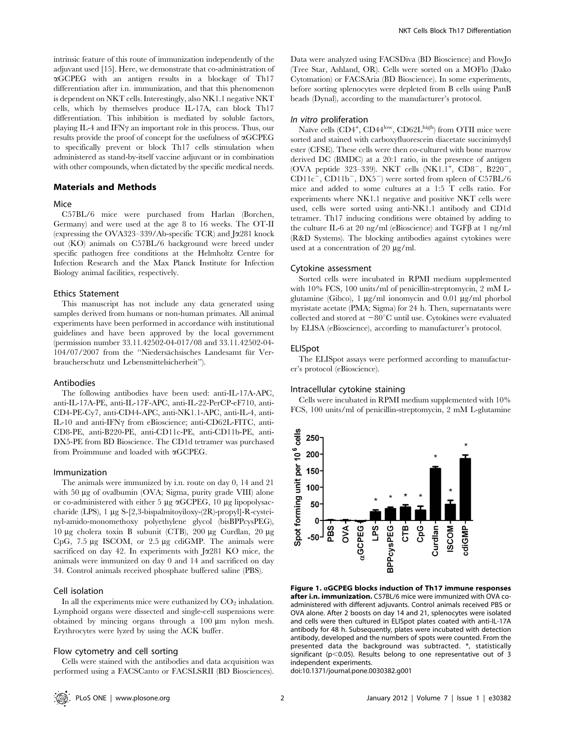intrinsic feature of this route of immunization independently of the adjuvant used [15]. Here, we demonstrate that co-administration of  $\alpha$ GCPEG with an antigen results in a blockage of Th17 differentiation after i.n. immunization, and that this phenomenon is dependent on NKT cells. Interestingly, also NK1.1 negative NKT cells, which by themselves produce IL-17A, can block Th17 differentiation. This inhibition is mediated by soluble factors, playing IL-4 and IFN $\gamma$  an important role in this process. Thus, our results provide the proof of concept for the usefulness of  $\alpha$ GCPEG to specifically prevent or block Th17 cells stimulation when administered as stand-by-itself vaccine adjuvant or in combination with other compounds, when dictated by the specific medical needs.

## Materials and Methods

## Mice

C57BL/6 mice were purchased from Harlan (Borchen, Germany) and were used at the age 8 to 16 weeks. The OT-II (expressing the OVA323–339/Ab-specific TCR) and  $\sqrt{281}$  knock out (KO) animals on C57BL/6 background were breed under specific pathogen free conditions at the Helmholtz Centre for Infection Research and the Max Planck Institute for Infection Biology animal facilities, respectively.

## Ethics Statement

This manuscript has not include any data generated using samples derived from humans or non-human primates. All animal experiments have been performed in accordance with institutional guidelines and have been approved by the local government (permission number 33.11.42502-04-017/08 and 33.11.42502-04- 104/07/2007 from the "Niedersächsisches Landesamt für Verbraucherschutz und Lebensmittelsicherheit'').

## Antibodies

The following antibodies have been used: anti-IL-17A-APC, anti-IL-17A-PE, anti-IL-17F-APC, anti-IL-22-PerCP-eF710, anti-CD4-PE-Cy7, anti-CD44-APC, anti-NK1.1-APC, anti-IL-4, anti-IL-10 and anti-IFN $\gamma$  from eBioscience; anti-CD62L-FITC, anti-CD8-PE, anti-B220-PE, anti-CD11c-PE, anti-CD11b-PE, anti-DX5-PE from BD Bioscience. The CD1d tetramer was purchased from Proimmune and loaded with aGCPEG.

## Immunization

The animals were immunized by i.n. route on day 0, 14 and 21 with 50 µg of ovalbumin (OVA; Sigma, purity grade VIII) alone or co-administered with either 5  $\mu$ g  $\alpha$ GCPEG, 10  $\mu$ g lipopolysaccharide (LPS), 1 µg S-[2,3-bispalmitoyiloxy-(2R)-propyl]-R-cysteinyl-amido-monomethoxy polyethylene glycol (bisBPPcysPEG), 10 μg cholera toxin B subunit (CTB), 200 μg Curdlan, 20 μg CpG,  $7.5 \mu$ g ISCOM, or  $2.5 \mu$ g cdiGMP. The animals were sacrificed on day 42. In experiments with  $J\alpha$ 281 KO mice, the animals were immunized on day 0 and 14 and sacrificed on day 34. Control animals received phosphate buffered saline (PBS).

## Cell isolation

In all the experiments mice were euthanized by  $CO<sub>2</sub>$  inhalation. Lymphoid organs were dissected and single-cell suspensions were obtained by mincing organs through a  $100 \mu m$  nylon mesh. Erythrocytes were lyzed by using the ACK buffer.

## Flow cytometry and cell sorting

Cells were stained with the antibodies and data acquisition was performed using a FACSCanto or FACSLSRII (BD Biosciences).

Data were analyzed using FACSDiva (BD Bioscience) and FlowJo (Tree Star, Ashland, OR). Cells were sorted on a MOFlo (Dako Cytomation) or FACSAria (BD Bioscience). In some experiments, before sorting splenocytes were depleted from B cells using PanB beads (Dynal), according to the manufacturer's protocol.

## In vitro proliferation

Naïve cells (CD4<sup>+</sup>, CD44<sup>low</sup>, CD62L<sup>high</sup>) from OTII mice were sorted and stained with carboxyfluorescein diacetate succinimydyl ester (CFSE). These cells were then co-cultured with bone marrow derived DC (BMDC) at a 20:1 ratio, in the presence of antigen (OVA peptide 323-339). NKT cells  $(NK1.1^+, CDS^-, B220^-,$  $CD11c$ <sup>-</sup>,  $CD11b$ <sup>-</sup>,  $DX5$ <sup>-</sup>) were sorted from spleen of C57BL/6 mice and added to some cultures at a 1:5 T cells ratio. For experiments where NK1.1 negative and positive NKT cells were used, cells were sorted using anti-NK1.1 antibody and CD1d tetramer. Th17 inducing conditions were obtained by adding to the culture IL-6 at 20 ng/ml (eBioscience) and  $TGF\beta$  at 1 ng/ml (R&D Systems). The blocking antibodies against cytokines were used at a concentration of 20  $\mu$ g/ml.

#### Cytokine assessment

Sorted cells were incubated in RPMI medium supplemented with 10% FCS, 100 units/ml of penicillin-streptomycin, 2 mM Lglutamine (Gibco),  $1 \mu g/ml$  ionomycin and 0.01  $\mu g/ml$  phorbol myristate acetate (PMA; Sigma) for 24 h. Then, supernatants were collected and stored at  $-80^{\circ}$ C until use. Cytokines were evaluated by ELISA (eBioscience), according to manufacturer's protocol.

#### ELISpot

The ELISpot assays were performed according to manufacturer's protocol (eBioscience).

## Intracellular cytokine staining

Cells were incubated in RPMI medium supplemented with 10% FCS, 100 units/ml of penicillin-streptomycin, 2 mM L-glutamine



Figure 1. aGCPEG blocks induction of Th17 immune responses after i.n. immunization. C57BL/6 mice were immunized with OVA coadministered with different adjuvants. Control animals received PBS or OVA alone. After 2 boosts on day 14 and 21, splenocytes were isolated and cells were then cultured in ELISpot plates coated with anti-IL-17A antibody for 48 h. Subsequently, plates were incubated with detection antibody, developed and the numbers of spots were counted. From the presented data the background was subtracted. \*, statistically significant ( $p$ <0.05). Results belong to one representative out of 3 independent experiments.

doi:10.1371/journal.pone.0030382.g001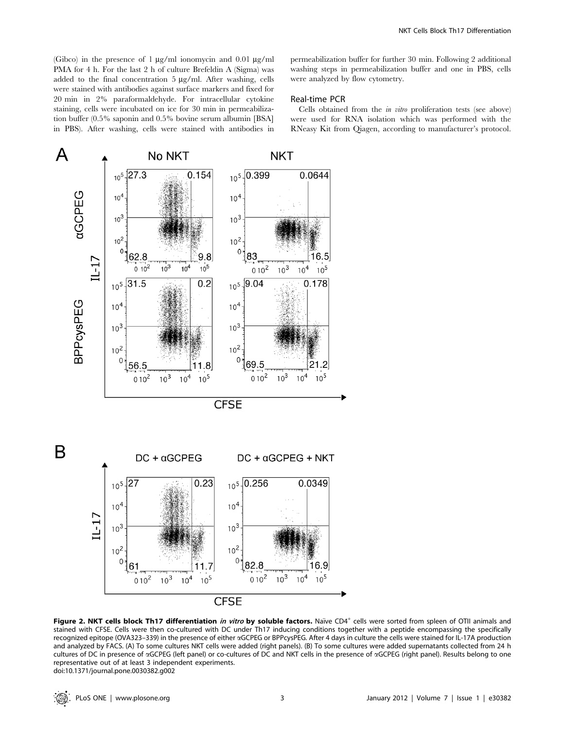(Gibco) in the presence of 1  $\mu$ g/ml ionomycin and 0.01  $\mu$ g/ml PMA for 4 h. For the last 2 h of culture Brefeldin A (Sigma) was added to the final concentration  $5 \mu g/ml$ . After washing, cells were stained with antibodies against surface markers and fixed for 20 min in 2% paraformaldehyde. For intracellular cytokine staining, cells were incubated on ice for 30 min in permeabilization buffer (0.5% saponin and 0.5% bovine serum albumin [BSA] in PBS). After washing, cells were stained with antibodies in permeabilization buffer for further 30 min. Following 2 additional washing steps in permeabilization buffer and one in PBS, cells were analyzed by flow cytometry.

# Real-time PCR

Cells obtained from the in vitro proliferation tests (see above) were used for RNA isolation which was performed with the RNeasy Kit from Qiagen, according to manufacturer's protocol.



Figure 2. NKT cells block Th17 differentiation in vitro by soluble factors. Naïve CD4<sup>+</sup> cells were sorted from spleen of OTII animals and stained with CFSE. Cells were then co-cultured with DC under Th17 inducing conditions together with a peptide encompassing the specifically recognized epitope (OVA323–339) in the presence of either aGCPEG or BPPcysPEG. After 4 days in culture the cells were stained for IL-17A production and analyzed by FACS. (A) To some cultures NKT cells were added (right panels). (B) To some cultures were added supernatants collected from 24 h cultures of DC in presence of aGCPEG (left panel) or co-cultures of DC and NKT cells in the presence of aGCPEG (right panel). Results belong to one representative out of at least 3 independent experiments. doi:10.1371/journal.pone.0030382.g002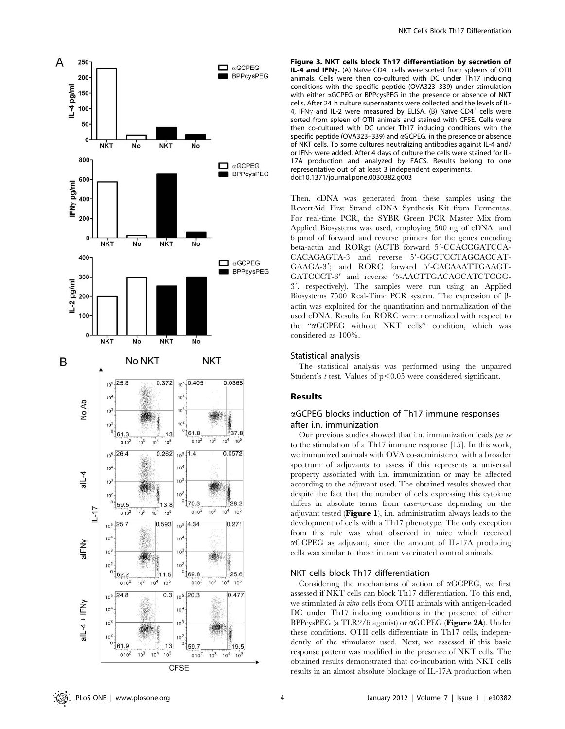

Figure 3. NKT cells block Th17 differentiation by secretion of IL-4 and IFN $\gamma$ . (A) Naïve CD4<sup>+</sup> cells were sorted from spleens of OTII animals. Cells were then co-cultured with DC under Th17 inducing conditions with the specific peptide (OVA323–339) under stimulation with either  $\alpha$ GCPEG or BPPcysPEG in the presence or absence of NKT cells. After 24 h culture supernatants were collected and the levels of IL-4, IFN $\gamma$  and IL-2 were measured by ELISA. (B) Naïve CD4<sup>+</sup> cells were sorted from spleen of OTII animals and stained with CFSE. Cells were then co-cultured with DC under Th17 inducing conditions with the specific peptide (OVA323–339) and aGCPEG, in the presence or absence of NKT cells. To some cultures neutralizing antibodies against IL-4 and/ or IFN<sub>Y</sub> were added. After 4 days of culture the cells were stained for IL-17A production and analyzed by FACS. Results belong to one representative out of at least 3 independent experiments. doi:10.1371/journal.pone.0030382.g003

Then, cDNA was generated from these samples using the RevertAid First Strand cDNA Synthesis Kit from Fermentas. For real-time PCR, the SYBR Green PCR Master Mix from Applied Biosystems was used, employing 500 ng of cDNA, and 6 pmol of forward and reverse primers for the genes encoding beta-actin and RORgt (ACTB forward 5'-CCACCGATCCA-CACAGAGTA-3 and reverse 5'-GGCTCCTAGCACCAT-GAAGA-3'; and RORC forward 5'-CACAAATTGAAGT-GATCCCT-3' and reverse '5-AACTTGACAGCATCTCGG-3', respectively). The samples were run using an Applied Biosystems 7500 Real-Time PCR system. The expression of bactin was exploited for the quantitation and normalization of the used cDNA. Results for RORC were normalized with respect to the ''aGCPEG without NKT cells'' condition, which was considered as 100%.

## Statistical analysis

The statistical analysis was performed using the unpaired Student's t test. Values of  $p<0.05$  were considered significant.

# Results

# aGCPEG blocks induction of Th17 immune responses after i.n. immunization

Our previous studies showed that i.n. immunization leads per se to the stimulation of a Th17 immune response [15]. In this work, we immunized animals with OVA co-administered with a broader spectrum of adjuvants to assess if this represents a universal property associated with i.n. immunization or may be affected according to the adjuvant used. The obtained results showed that despite the fact that the number of cells expressing this cytokine differs in absolute terms from case-to-case depending on the adjuvant tested ( $Figure 1$ ), i.n. administration always leads to the development of cells with a Th17 phenotype. The only exception from this rule was what observed in mice which received aGCPEG as adjuvant, since the amount of IL-17A producing cells was similar to those in non vaccinated control animals.

## NKT cells block Th17 differentiation

Considering the mechanisms of action of  $\alpha$ GCPEG, we first assessed if NKT cells can block Th17 differentiation. To this end, we stimulated in vitro cells from OTII animals with antigen-loaded DC under Th17 inducing conditions in the presence of either BPPcysPEG (a TLR2/6 agonist) or  $\alpha$ GCPEG (Figure 2A). Under these conditions, OTII cells differentiate in Th17 cells, independently of the stimulator used. Next, we assessed if this basic response pattern was modified in the presence of NKT cells. The obtained results demonstrated that co-incubation with NKT cells results in an almost absolute blockage of IL-17A production when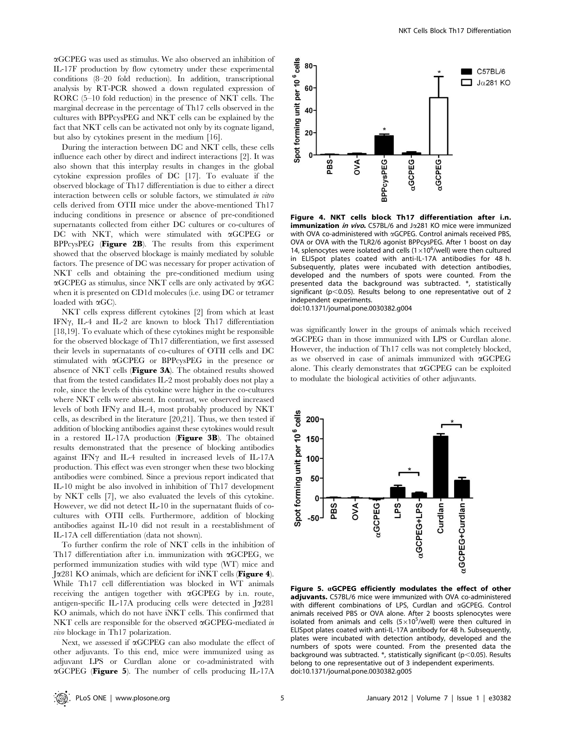aGCPEG was used as stimulus. We also observed an inhibition of IL-17F production by flow cytometry under these experimental conditions (8–20 fold reduction). In addition, transcriptional analysis by RT-PCR showed a down regulated expression of RORC (5–10 fold reduction) in the presence of NKT cells. The marginal decrease in the percentage of Th17 cells observed in the cultures with BPPcysPEG and NKT cells can be explained by the fact that NKT cells can be activated not only by its cognate ligand, but also by cytokines present in the medium [16].

During the interaction between DC and NKT cells, these cells influence each other by direct and indirect interactions [2]. It was also shown that this interplay results in changes in the global cytokine expression profiles of DC [17]. To evaluate if the observed blockage of Th17 differentiation is due to either a direct interaction between cells or soluble factors, we stimulated in vitro cells derived from OTII mice under the above-mentioned Th17 inducing conditions in presence or absence of pre-conditioned supernatants collected from either DC cultures or co-cultures of DC with NKT, which were stimulated with  $\alpha$ GCPEG or BPPcysPEG (Figure 2B). The results from this experiment showed that the observed blockage is mainly mediated by soluble factors. The presence of DC was necessary for proper activation of NKT cells and obtaining the pre-conditioned medium using  $\alpha$ GCPEG as stimulus, since NKT cells are only activated by  $\alpha$ GC when it is presented on CD1d molecules (i.e. using DC or tetramer loaded with  $\alpha$ GC).

NKT cells express different cytokines [2] from which at least IFN $\gamma$ , IL-4 and IL-2 are known to block Th17 differentiation [18,19]. To evaluate which of these cytokines might be responsible for the observed blockage of Th17 differentiation, we first assessed their levels in supernatants of co-cultures of OTII cells and DC stimulated with aGCPEG or BPPcysPEG in the presence or absence of NKT cells (Figure 3A). The obtained results showed that from the tested candidates IL-2 most probably does not play a role, since the levels of this cytokine were higher in the co-cultures where NKT cells were absent. In contrast, we observed increased levels of both IFN $\gamma$  and IL-4, most probably produced by NKT cells, as described in the literature [20,21]. Thus, we then tested if addition of blocking antibodies against these cytokines would result in a restored IL-17A production (Figure 3B). The obtained results demonstrated that the presence of blocking antibodies against IFN $\gamma$  and IL-4 resulted in increased levels of IL-17A production. This effect was even stronger when these two blocking antibodies were combined. Since a previous report indicated that IL-10 might be also involved in inhibition of Th17 development by NKT cells [7], we also evaluated the levels of this cytokine. However, we did not detect IL-10 in the supernatant fluids of cocultures with OTII cells. Furthermore, addition of blocking antibodies against IL-10 did not result in a reestablishment of IL-17A cell differentiation (data not shown).

To further confirm the role of NKT cells in the inhibition of Th17 differentiation after i.n. immunization with  $\alpha$ GCPEG, we performed immunization studies with wild type (WT) mice and  $J\alpha$ 281 KO animals, which are deficient for iNKT cells (**Figure 4**). While Th17 cell differentiation was blocked in WT animals receiving the antigen together with aGCPEG by i.n. route, antigen-specific IL-17A producing cells were detected in  $J\alpha$ 281 KO animals, which do not have iNKT cells. This confirmed that NKT cells are responsible for the observed  $\alpha$ GCPEG-mediated in vivo blockage in Th17 polarization.

Next, we assessed if aGCPEG can also modulate the effect of other adjuvants. To this end, mice were immunized using as adjuvant LPS or Curdlan alone or co-administrated with  $\alpha$ GCPEG (Figure 5). The number of cells producing IL-17A



Figure 4. NKT cells block Th17 differentiation after i.n. **immunization in vivo.** C57BL/6 and J $\alpha$ 281 KO mice were immunized with OVA co-administered with  $\alpha$ GCPEG. Control animals received PBS OVA or OVA with the TLR2/6 agonist BPPcysPEG. After 1 boost on day 14, splenocytes were isolated and cells ( $1\times10^6$ /well) were then cultured in ELISpot plates coated with anti-IL-17A antibodies for 48 h. Subsequently, plates were incubated with detection antibodies, developed and the numbers of spots were counted. From the presented data the background was subtracted. \*, statistically significant ( $p$ <0.05). Results belong to one representative out of 2 independent experiments.

doi:10.1371/journal.pone.0030382.g004

was significantly lower in the groups of animals which received aGCPEG than in those immunized with LPS or Curdlan alone. However, the induction of Th17 cells was not completely blocked, as we observed in case of animals immunized with  $\alpha$ GCPEG alone. This clearly demonstrates that  $\alpha$ GCPEG can be exploited to modulate the biological activities of other adjuvants.



Figure 5.  $\alpha$ GCPEG efficiently modulates the effect of other adjuvants. C57BL/6 mice were immunized with OVA co-administered with different combinations of LPS, Curdlan and **aGCPEG**. Control animals received PBS or OVA alone. After 2 boosts splenocytes were isolated from animals and cells  $(5 \times 10^5$ /well) were then cultured in ELISpot plates coated with anti-IL-17A antibody for 48 h. Subsequently, plates were incubated with detection antibody, developed and the numbers of spots were counted. From the presented data the background was subtracted.  $*$ , statistically significant (p $<$ 0.05). Results belong to one representative out of 3 independent experiments. doi:10.1371/journal.pone.0030382.g005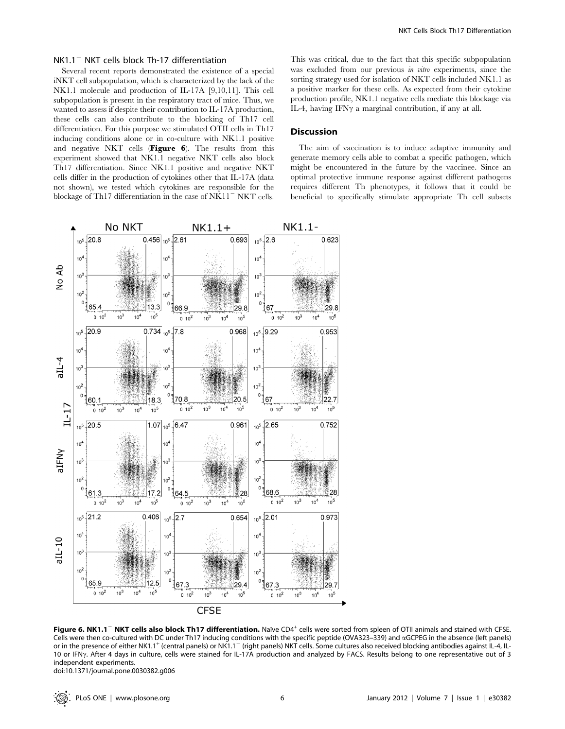## $NK1.1^-$  NKT cells block Th-17 differentiation

Several recent reports demonstrated the existence of a special iNKT cell subpopulation, which is characterized by the lack of the NK1.1 molecule and production of IL-17A [9,10,11]. This cell subpopulation is present in the respiratory tract of mice. Thus, we wanted to assess if despite their contribution to IL-17A production, these cells can also contribute to the blocking of Th17 cell differentiation. For this purpose we stimulated OTII cells in Th17 inducing conditions alone or in co-culture with NK1.1 positive and negative NKT cells (Figure 6). The results from this experiment showed that NK1.1 negative NKT cells also block Th17 differentiation. Since NK1.1 positive and negative NKT cells differ in the production of cytokines other that IL-17A (data not shown), we tested which cytokines are responsible for the blockage of Th17 differentiation in the case of  $NK11$ <sup>-</sup>  $NKT$  cells.

This was critical, due to the fact that this specific subpopulation was excluded from our previous *in vitro* experiments, since the sorting strategy used for isolation of NKT cells included NK1.1 as a positive marker for these cells. As expected from their cytokine production profile, NK1.1 negative cells mediate this blockage via IL-4, having IFN $\gamma$  a marginal contribution, if any at all.

## Discussion

The aim of vaccination is to induce adaptive immunity and generate memory cells able to combat a specific pathogen, which might be encountered in the future by the vaccinee. Since an optimal protective immune response against different pathogens requires different Th phenotypes, it follows that it could be beneficial to specifically stimulate appropriate Th cell subsets



Figure 6. NK1.1<sup>-</sup> NKT cells also block Th17 differentiation. Naïve CD4<sup>+</sup> cells were sorted from spleen of OTII animals and stained with CFSE. Cells were then co-cultured with DC under Th17 inducing conditions with the specific peptide (OVA323–339) and aGCPEG in the absence (left panels) or in the presence of either NK1.1<sup>+</sup> (central panels) or NK1.1<sup>-</sup> (right panels) NKT cells. Some cultures also received blocking antibodies against IL-4, IL-10 or IFN<sub>Y</sub>. After 4 days in culture, cells were stained for IL-17A production and analyzed by FACS. Results belong to one representative out of 3 independent experiments.

doi:10.1371/journal.pone.0030382.g006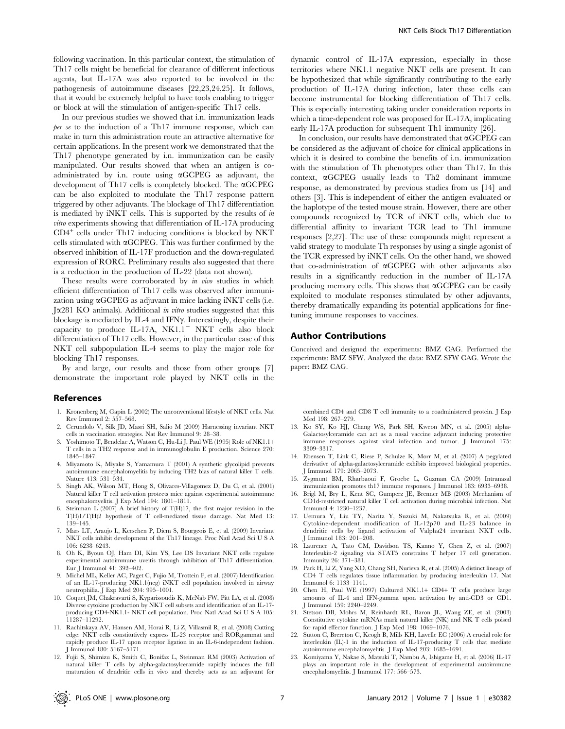following vaccination. In this particular context, the stimulation of Th17 cells might be beneficial for clearance of different infectious agents, but IL-17A was also reported to be involved in the pathogenesis of autoimmune diseases [22,23,24,25]. It follows, that it would be extremely helpful to have tools enabling to trigger or block at will the stimulation of antigen-specific Th17 cells.

In our previous studies we showed that i.n. immunization leads per se to the induction of a Th17 immune response, which can make in turn this administration route an attractive alternative for certain applications. In the present work we demonstrated that the Th17 phenotype generated by i.n. immunization can be easily manipulated. Our results showed that when an antigen is coadministrated by i.n. route using  $\alpha$ GCPEG as adjuvant, the development of Th17 cells is completely blocked. The aGCPEG can be also exploited to modulate the Th17 response pattern triggered by other adjuvants. The blockage of Th17 differentiation is mediated by iNKT cells. This is supported by the results of in vitro experiments showing that differentiation of IL-17A producing  $CD4^+$  cells under Th17 inducing conditions is blocked by NKT cells stimulated with  $\alpha$ GCPEG. This was further confirmed by the observed inhibition of IL-17F production and the down-regulated expression of RORC. Preliminary results also suggested that there is a reduction in the production of IL-22 (data not shown).

These results were corroborated by in vivo studies in which efficient differentiation of Th17 cells was observed after immunization using  $\alpha$ GCPEG as adjuvant in mice lacking iNKT cells (i.e. J $\alpha$ 281 KO animals). Additional in vitro studies suggested that this blockage is mediated by IL-4 and IFN $\gamma$ . Interestingly, despite their capacity to produce  $IL-17A$ ,  $NK1.1$ <sup>-</sup>  $NKT$  cells also block differentiation of Th17 cells. However, in the particular case of this NKT cell subpopulation IL-4 seems to play the major role for blocking Th17 responses.

By and large, our results and those from other groups [7] demonstrate the important role played by NKT cells in the

## References

- 1. Kronenberg M, Gapin L (2002) The unconventional lifestyle of NKT cells. Nat Rev Immunol 2: 557–568.
- 2. Cerundolo V, Silk JD, Masri SH, Salio M (2009) Harnessing invariant NKT cells in vaccination strategies. Nat Rev Immunol 9: 28–38.
- Yoshimoto T, Bendelac A, Watson C, Hu-Li J, Paul WE (1995) Role of NK1.1+ T cells in a TH2 response and in immunoglobulin E production. Science 270: 1845–1847.
- 4. Miyamoto K, Miyake S, Yamamura T (2001) A synthetic glycolipid prevents autoimmune encephalomyelitis by inducing TH2 bias of natural killer T cells. Nature 413: 531–534.
- 5. Singh AK, Wilson MT, Hong S, Olivares-Villagomez D, Du C, et al. (2001) Natural killer T cell activation protects mice against experimental autoimmune encephalomyelitis. J Exp Med 194: 1801–1811.
- 6. Steinman L (2007) A brief history of T(H)17, the first major revision in the T(H)1/T(H)2 hypothesis of T cell-mediated tissue damage. Nat Med 13: 139–145.
- 7. Mars LT, Araujo L, Kerschen P, Diem S, Bourgeois E, et al. (2009) Invariant NKT cells inhibit development of the Th17 lineage. Proc Natl Acad Sci U S A 106: 6238–6243.
- 8. Oh K, Byoun OJ, Ham DI, Kim YS, Lee DS Invariant NKT cells regulate experimental autoimmune uveitis through inhibition of Th17 differentiation. Eur J Immunol 41: 392–402.
- 9. Michel ML, Keller AC, Paget C, Fujio M, Trottein F, et al. (2007) Identification of an IL-17-producing NK1.1(neg) iNKT cell population involved in airway neutrophilia. J Exp Med 204: 995–1001.
- 10. Coquet JM, Chakravarti S, Kyparissoudis K, McNab FW, Pitt LA, et al. (2008) Diverse cytokine production by NKT cell subsets and identification of an IL-17 producing CD4-NK1.1- NKT cell population. Proc Natl Acad Sci U S A 105: 11287–11292.
- 11. Rachitskaya AV, Hansen AM, Horai R, Li Z, Villasmil R, et al. (2008) Cutting edge: NKT cells constitutively express IL-23 receptor and RORgammat and rapidly produce IL-17 upon receptor ligation in an IL-6-independent fashion. J Immunol 180: 5167–5171.
- 12. Fujii S, Shimizu K, Smith C, Bonifaz L, Steinman RM (2003) Activation of natural killer T cells by alpha-galactosylceramide rapidly induces the full maturation of dendritic cells in vivo and thereby acts as an adjuvant for

dynamic control of IL-17A expression, especially in those territories where NK1.1 negative NKT cells are present. It can be hypothesized that while significantly contributing to the early production of IL-17A during infection, later these cells can become instrumental for blocking differentiation of Th17 cells. This is especially interesting taking under consideration reports in which a time-dependent role was proposed for IL-17A, implicating early IL-17A production for subsequent Th1 immunity [26].

In conclusion, our results have demonstrated that  $\alpha$ GCPEG can be considered as the adjuvant of choice for clinical applications in which it is desired to combine the benefits of i.n. immunization with the stimulation of Th phenotypes other than Th17. In this context,  $\alpha$ GCPEG usually leads to Th<sub>2</sub> dominant immune response, as demonstrated by previous studies from us [14] and others [3]. This is independent of either the antigen evaluated or the haplotype of the tested mouse strain. However, there are other compounds recognized by TCR of iNKT cells, which due to differential affinity to invariant TCR lead to Th1 immune responses [2,27]. The use of these compounds might represent a valid strategy to modulate Th responses by using a single agonist of the TCR expressed by iNKT cells. On the other hand, we showed that co-administration of aGCPEG with other adjuvants also results in a significantly reduction in the number of IL-17A producing memory cells. This shows that  $\alpha$ GCPEG can be easily exploited to modulate responses stimulated by other adjuvants, thereby dramatically expanding its potential applications for finetuning immune responses to vaccines.

## Author Contributions

Conceived and designed the experiments: BMZ CAG. Performed the experiments: BMZ SFW. Analyzed the data: BMZ SFW CAG. Wrote the paper: BMZ CAG.

combined CD4 and CD8 T cell immunity to a coadministered protein. J Exp Med 198: 267–279.

- 13. Ko SY, Ko HJ, Chang WS, Park SH, Kweon MN, et al. (2005) alpha-Galactosylceramide can act as a nasal vaccine adjuvant inducing protective immune responses against viral infection and tumor. J Immunol 175: 3309–3317.
- 14. Ebensen T, Link C, Riese P, Schulze K, Morr M, et al. (2007) A pegylated derivative of alpha-galactosylceramide exhibits improved biological properties. J Immunol 179: 2065–2073.
- 15. Zygmunt BM, Rharbaoui F, Groebe L, Guzman CA (2009) Intranasal immunization promotes th17 immune responses. J Immunol 183: 6933–6938.
- 16. Brigl M, Bry L, Kent SC, Gumperz JE, Brenner MB (2003) Mechanism of CD1d-restricted natural killer T cell activation during microbial infection. Nat Immunol 4: 1230–1237.
- 17. Uemura Y, Liu TY, Narita Y, Suzuki M, Nakatsuka R, et al. (2009) Cytokine-dependent modification of IL-12p70 and IL-23 balance in dendritic cells by ligand activation of Valpha24 invariant NKT cells. J Immunol 183: 201–208.
- 18. Laurence A, Tato CM, Davidson TS, Kanno Y, Chen Z, et al. (2007) Interleukin-2 signaling via STAT5 constrains T helper 17 cell generation. Immunity 26: 371–381.
- 19. Park H, Li Z, Yang XO, Chang SH, Nurieva R, et al. (2005) A distinct lineage of CD4 T cells regulates tissue inflammation by producing interleukin 17. Nat Immunol 6: 1133–1141.
- 20. Chen H, Paul WE (1997) Cultured NK1.1+ CD4+ T cells produce large amounts of IL-4 and IFN-gamma upon activation by anti-CD3 or CD1. J Immunol 159: 2240–2249.
- 21. Stetson DB, Mohrs M, Reinhardt RL, Baron JL, Wang ZE, et al. (2003) Constitutive cytokine mRNAs mark natural killer (NK) and NK T cells poised for rapid effector function. J Exp Med 198: 1069–1076.
- 22. Sutton C, Brereton C, Keogh B, Mills KH, Lavelle EC (2006) A crucial role for interleukin (IL)-1 in the induction of IL-17-producing T cells that mediate autoimmune encephalomyelitis. J Exp Med 203: 1685–1691.
- 23. Komiyama Y, Nakae S, Matsuki T, Nambu A, Ishigame H, et al. (2006) IL-17 plays an important role in the development of experimental autoimmune encephalomyelitis. J Immunol 177: 566–573.